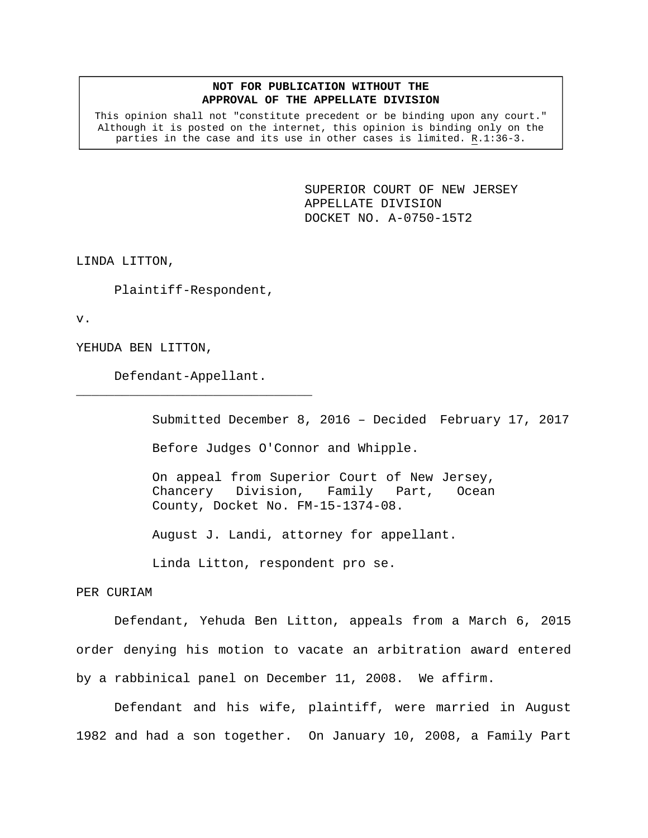## **NOT FOR PUBLICATION WITHOUT THE APPROVAL OF THE APPELLATE DIVISION**

This opinion shall not "constitute precedent or be binding upon any court." Although it is posted on the internet, this opinion is binding only on the parties in the case and its use in other cases is limited. R.1:36-3.

> SUPERIOR COURT OF NEW JERSEY APPELLATE DIVISION DOCKET NO. A-0750-15T2

LINDA LITTON,

Plaintiff-Respondent,

v.

YEHUDA BEN LITTON,

Defendant-Appellant.

\_\_\_\_\_\_\_\_\_\_\_\_\_\_\_\_\_\_\_\_\_\_\_\_\_\_\_\_\_\_\_

Submitted December 8, 2016 – Decided February 17, 2017 Before Judges O'Connor and Whipple.

On appeal from Superior Court of New Jersey, Chancery Division, Family Part, Ocean County, Docket No. FM-15-1374-08.

August J. Landi, attorney for appellant.

Linda Litton, respondent pro se.

PER CURIAM

 Defendant, Yehuda Ben Litton, appeals from a March 6, 2015 order denying his motion to vacate an arbitration award entered by a rabbinical panel on December 11, 2008. We affirm.

Defendant and his wife, plaintiff, were married in August 1982 and had a son together. On January 10, 2008, a Family Part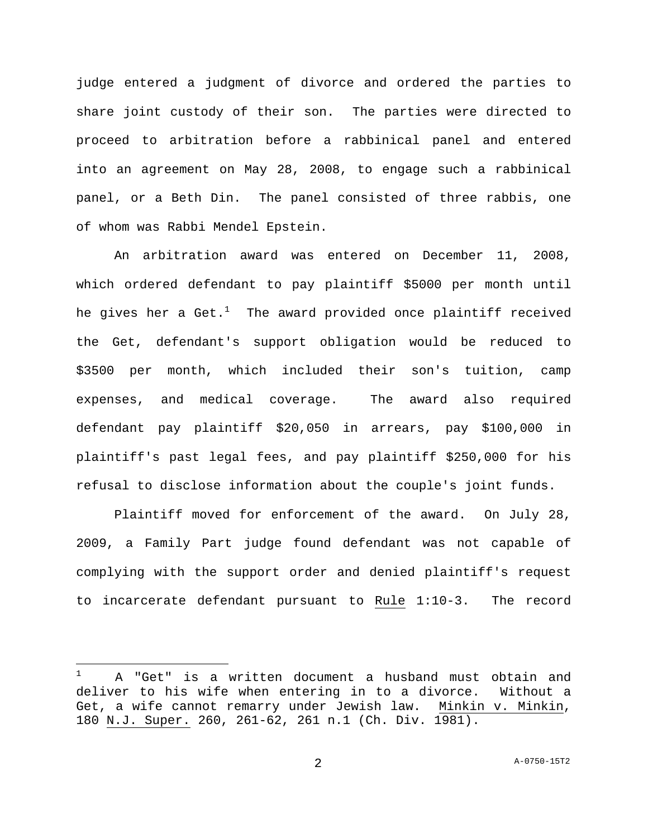judge entered a judgment of divorce and ordered the parties to share joint custody of their son. The parties were directed to proceed to arbitration before a rabbinical panel and entered into an agreement on May 28, 2008, to engage such a rabbinical panel, or a Beth Din. The panel consisted of three rabbis, one of whom was Rabbi Mendel Epstein.

An arbitration award was entered on December 11, 2008, which ordered defendant to pay plaintiff \$5000 per month until he gives her a Get. $^1$  - The award provided once plaintiff received the Get, defendant's support obligation would be reduced to \$3500 per month, which included their son's tuition, camp expenses, and medical coverage. The award also required defendant pay plaintiff \$20,050 in arrears, pay \$100,000 in plaintiff's past legal fees, and pay plaintiff \$250,000 for his refusal to disclose information about the couple's joint funds.

Plaintiff moved for enforcement of the award. On July 28, 2009, a Family Part judge found defendant was not capable of complying with the support order and denied plaintiff's request to incarcerate defendant pursuant to Rule 1:10-3. The record

i<br>Li

<sup>1</sup> A "Get" is a written document a husband must obtain and deliver to his wife when entering in to a divorce. Without a Get, a wife cannot remarry under Jewish law. Minkin v. Minkin, 180 N.J. Super. 260, 261-62, 261 n.1 (Ch. Div. 1981).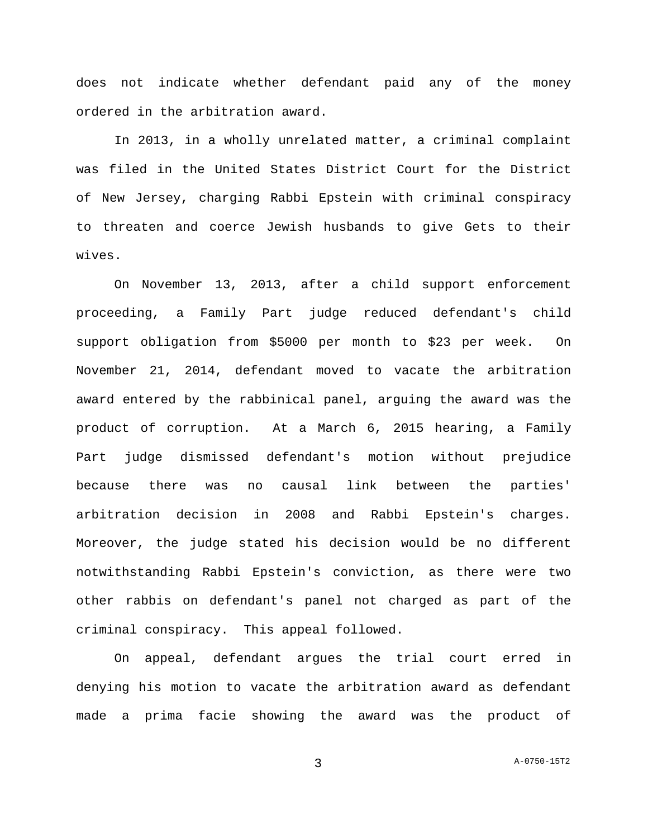does not indicate whether defendant paid any of the money ordered in the arbitration award.

In 2013, in a wholly unrelated matter, a criminal complaint was filed in the United States District Court for the District of New Jersey, charging Rabbi Epstein with criminal conspiracy to threaten and coerce Jewish husbands to give Gets to their wives.

On November 13, 2013, after a child support enforcement proceeding, a Family Part judge reduced defendant's child support obligation from \$5000 per month to \$23 per week. On November 21, 2014, defendant moved to vacate the arbitration award entered by the rabbinical panel, arguing the award was the product of corruption. At a March 6, 2015 hearing, a Family Part judge dismissed defendant's motion without prejudice because there was no causal link between the parties' arbitration decision in 2008 and Rabbi Epstein's charges. Moreover, the judge stated his decision would be no different notwithstanding Rabbi Epstein's conviction, as there were two other rabbis on defendant's panel not charged as part of the criminal conspiracy. This appeal followed.

 On appeal, defendant argues the trial court erred in denying his motion to vacate the arbitration award as defendant made a prima facie showing the award was the product of

3 A-0750-15T2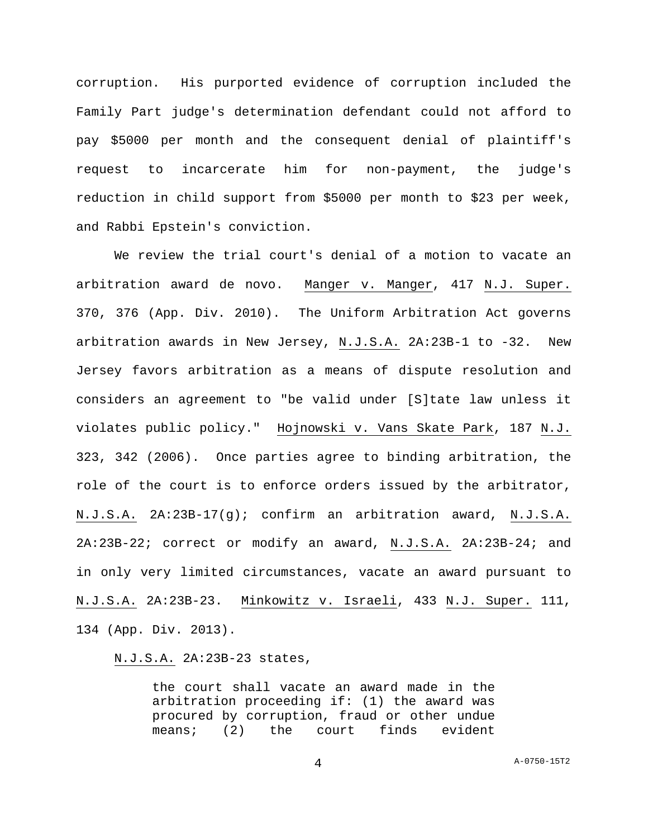corruption. His purported evidence of corruption included the Family Part judge's determination defendant could not afford to pay \$5000 per month and the consequent denial of plaintiff's request to incarcerate him for non-payment, the judge's reduction in child support from \$5000 per month to \$23 per week, and Rabbi Epstein's conviction.

 We review the trial court's denial of a motion to vacate an arbitration award de novo. Manger v. Manger, 417 N.J. Super. 370, 376 (App. Div. 2010). The Uniform Arbitration Act governs arbitration awards in New Jersey, N.J.S.A. 2A:23B-1 to -32. New Jersey favors arbitration as a means of dispute resolution and considers an agreement to "be valid under [S]tate law unless it violates public policy." Hojnowski v. Vans Skate Park, 187 N.J. 323, 342 (2006). Once parties agree to binding arbitration, the role of the court is to enforce orders issued by the arbitrator, N.J.S.A. 2A:23B-17(g); confirm an arbitration award, N.J.S.A. 2A:23B-22; correct or modify an award, N.J.S.A. 2A:23B-24; and in only very limited circumstances, vacate an award pursuant to N.J.S.A. 2A:23B-23. Minkowitz v. Israeli, 433 N.J. Super. 111, 134 (App. Div. 2013).

## N.J.S.A. 2A:23B-23 states,

the court shall vacate an award made in the arbitration proceeding if: (1) the award was procured by corruption, fraud or other undue means; (2) the court finds evident

4 A-0750-15T2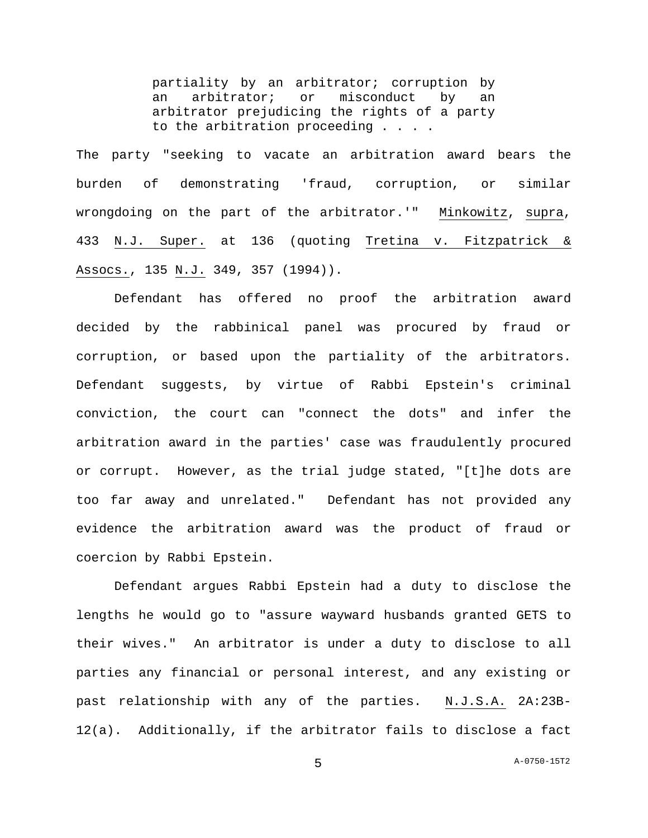partiality by an arbitrator; corruption by an arbitrator; or misconduct by an arbitrator prejudicing the rights of a party to the arbitration proceeding . . . .

The party "seeking to vacate an arbitration award bears the burden of demonstrating 'fraud, corruption, or similar wrongdoing on the part of the arbitrator.'" Minkowitz, supra, 433 N.J. Super. at 136 (quoting Tretina v. Fitzpatrick & Assocs., 135 N.J. 349, 357 (1994)).

 Defendant has offered no proof the arbitration award decided by the rabbinical panel was procured by fraud or corruption, or based upon the partiality of the arbitrators. Defendant suggests, by virtue of Rabbi Epstein's criminal conviction, the court can "connect the dots" and infer the arbitration award in the parties' case was fraudulently procured or corrupt. However, as the trial judge stated, "[t]he dots are too far away and unrelated." Defendant has not provided any evidence the arbitration award was the product of fraud or coercion by Rabbi Epstein.

 Defendant argues Rabbi Epstein had a duty to disclose the lengths he would go to "assure wayward husbands granted GETS to their wives." An arbitrator is under a duty to disclose to all parties any financial or personal interest, and any existing or past relationship with any of the parties. N.J.S.A. 2A:23B-12(a). Additionally, if the arbitrator fails to disclose a fact

5 A-0750-15T2